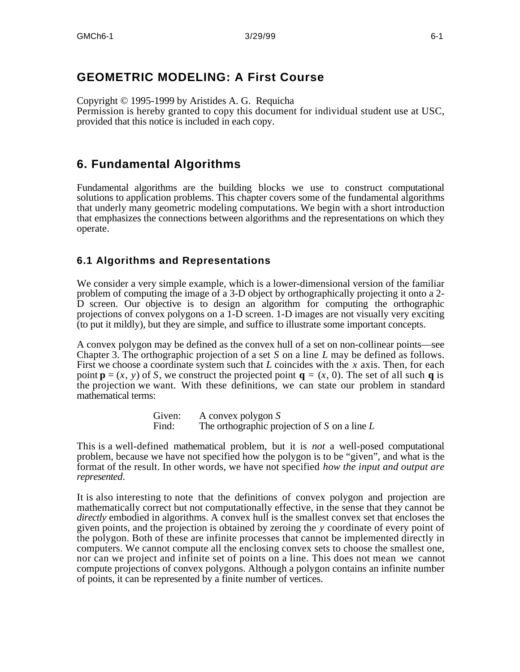# **GEOMETRIC MODELING: A First Course**

Copyright © 1995-1999 by Aristides A. G. Requicha Permission is hereby granted to copy this document for individual student use at USC, provided that this notice is included in each copy.

# **6. Fundamental Algorithms**

Fundamental algorithms are the building blocks we use to construct computational solutions to application problems. This chapter covers some of the fundamental algorithms that underly many geometric modeling computations. We begin with a short introduction that emphasizes the connections between algorithms and the representations on which they operate.

## **6.1 Algorithms and Representations**

We consider a very simple example, which is a lower-dimensional version of the familiar problem of computing the image of a 3-D object by orthographically projecting it onto a 2- D screen. Our objective is to design an algorithm for computing the orthographic projections of convex polygons on a 1-D screen. 1-D images are not visually very exciting (to put it mildly), but they are simple, and suffice to illustrate some important concepts.

A convex polygon may be defined as the convex hull of a set on non-collinear points—see Chapter 3. The orthographic projection of a set *S* on a line *L* may be defined as follows. First we choose a coordinate system such that *L* coincides with the *x* axis. Then, for each point  $\mathbf{p} = (x, y)$  of *S*, we construct the projected point  $\mathbf{q} = (x, 0)$ . The set of all such **q** is the projection we want. With these definitions, we can state our problem in standard mathematical terms:

> Given: A convex polygon *S* Find: The orthographic projection of *S* on a line *L*

This is a well-defined mathematical problem, but it is *not* a well-posed computational problem, because we have not specified how the polygon is to be "given", and what is the format of the result. In other words, we have not specified *how the input and output are represented*.

It is also interesting to note that the definitions of convex polygon and projection are mathematically correct but not computationally effective, in the sense that they cannot be *directly* embodied in algorithms. A convex hull is the smallest convex set that encloses the given points, and the projection is obtained by zeroing the *y* coordinate of every point of the polygon. Both of these are infinite processes that cannot be implemented directly in computers. We cannot compute all the enclosing convex sets to choose the smallest one, nor can we project and infinite set of points on a line. This does not mean we cannot compute projections of convex polygons. Although a polygon contains an infinite number of points, it can be represented by a finite number of vertices.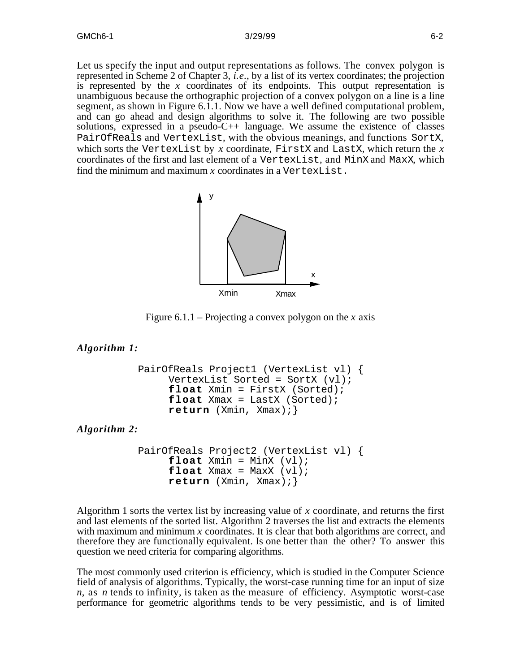Let us specify the input and output representations as follows. The convex polygon is represented in Scheme 2 of Chapter 3, *i.e.*, by a list of its vertex coordinates; the projection is represented by the  $x$  coordinates of its endpoints. This output representation is unambiguous because the orthographic projection of a convex polygon on a line is a line segment, as shown in Figure 6.1.1. Now we have a well defined computational problem, and can go ahead and design algorithms to solve it. The following are two possible solutions, expressed in a pseudo-C++ language. We assume the existence of classes PairOfReals and VertexList, with the obvious meanings, and functions SortX, which sorts the VertexList by *x* coordinate, FirstX and LastX, which return the *x* coordinates of the first and last element of a VertexList, and MinX and MaxX, which find the minimum and maximum *x* coordinates in a VertexList.



Figure 6.1.1 – Projecting a convex polygon on the *x* axis

### *Algorithm 1:*

```
PairOfReals Project1 (VertexList vl) {
     VertexList Sorted = SortX (vl);
     float Xmin = FirstX (Sorted);
     float Xmax = LastX (Sorted);
     return (Xmin, Xmax);}
```
*Algorithm 2:*

```
PairOfReals Project2 (VertexList vl) {
     float Xmin = MinX (vl);
     float Xmax = MaxX (v1);
     return (Xmin, Xmax);}
```
Algorithm 1 sorts the vertex list by increasing value of *x* coordinate, and returns the first and last elements of the sorted list. Algorithm 2 traverses the list and extracts the elements with maximum and minimum *x* coordinates. It is clear that both algorithms are correct, and therefore they are functionally equivalent. Is one better than the other? To answer this question we need criteria for comparing algorithms.

The most commonly used criterion is efficiency, which is studied in the Computer Science field of analysis of algorithms. Typically, the worst-case running time for an input of size *n*, as *n* tends to infinity, is taken as the measure of efficiency. Asymptotic worst-case performance for geometric algorithms tends to be very pessimistic, and is of limited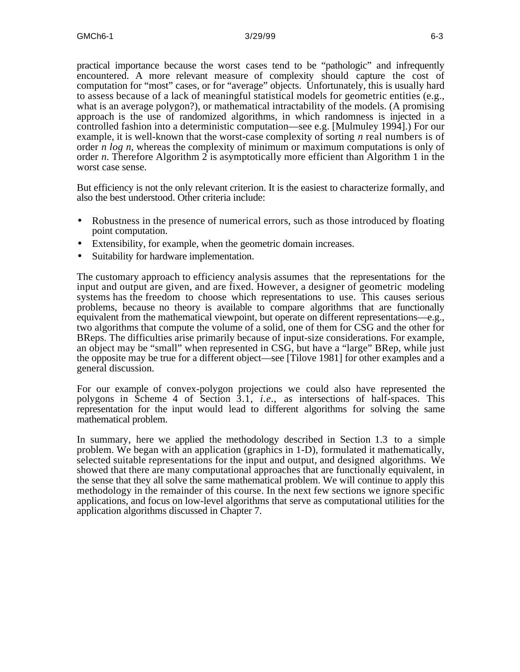practical importance because the worst cases tend to be "pathologic" and infrequently encountered. A more relevant measure of complexity should capture the cost of computation for "most" cases, or for "average" objects. Unfortunately, this is usually hard to assess because of a lack of meaningful statistical models for geometric entities (e.g., what is an average polygon?), or mathematical intractability of the models. (A promising approach is the use of randomized algorithms, in which randomness is injected in a controlled fashion into a deterministic computation—see e.g. [Mulmuley 1994].) For our example, it is well-known that the worst-case complexity of sorting *n* real numbers is of order *n log n*, whereas the complexity of minimum or maximum computations is only of order *n*. Therefore Algorithm 2 is asymptotically more efficient than Algorithm 1 in the worst case sense.

But efficiency is not the only relevant criterion. It is the easiest to characterize formally, and also the best understood. Other criteria include:

- Robustness in the presence of numerical errors, such as those introduced by floating point computation.
- Extensibility, for example, when the geometric domain increases.
- Suitability for hardware implementation.

The customary approach to efficiency analysis assumes that the representations for the input and output are given, and are fixed. However, a designer of geometric modeling systems has the freedom to choose which representations to use. This causes serious problems, because no theory is available to compare algorithms that are functionally equivalent from the mathematical viewpoint, but operate on different representations—e.g., two algorithms that compute the volume of a solid, one of them for CSG and the other for BReps. The difficulties arise primarily because of input-size considerations. For example, an object may be "small" when represented in CSG, but have a "large" BRep, while just the opposite may be true for a different object—see [Tilove 1981] for other examples and a general discussion.

For our example of convex-polygon projections we could also have represented the polygons in Scheme 4 of Section 3.1, *i.e.*, as intersections of half-spaces. This representation for the input would lead to different algorithms for solving the same mathematical problem.

In summary, here we applied the methodology described in Section 1.3 to a simple problem. We began with an application (graphics in 1-D), formulated it mathematically, selected suitable representations for the input and output, and designed algorithms. We showed that there are many computational approaches that are functionally equivalent, in the sense that they all solve the same mathematical problem. We will continue to apply this methodology in the remainder of this course. In the next few sections we ignore specific applications, and focus on low-level algorithms that serve as computational utilities for the application algorithms discussed in Chapter 7.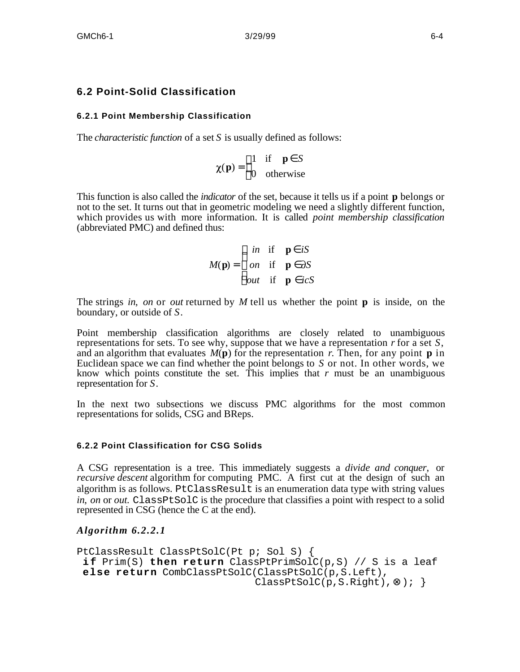## **6.2 Point-Solid Classification**

## **6.2.1 Point Membership Classification**

The *characteristic function* of a set *S* is usually defined as follows:

$$
\chi(\mathbf{p}) = \begin{pmatrix} 1 & \text{if } \mathbf{p} & S \\ 0 & \text{otherwise} \end{pmatrix}
$$

This function is also called the *indicator* of the set, because it tells us if a point **p** belongs or not to the set. It turns out that in geometric modeling we need a slightly different function, which provides us with more information. It is called *point membership classification* (abbreviated PMC) and defined thus:

$$
M(\mathbf{p}) = \begin{array}{ccc} in & \text{if} & \mathbf{p} & iS \\ on & \text{if} & \mathbf{p} & \partial S \\ out & \text{if} & \mathbf{p} & icS \end{array}
$$

The strings *in*, *on* or *out* returned by *M* tell us whether the point **p** is inside, on the boundary, or outside of *S*.

Point membership classification algorithms are closely related to unambiguous representations for sets. To see why, suppose that we have a representation *r* for a set *S*, and an algorithm that evaluates  $M(\bf{p})$  for the representation *r*. Then, for any point **p** in Euclidean space we can find whether the point belongs to *S* or not. In other words, we know which points constitute the set. This implies that  $r$  must be an unambiguous representation for *S*.

In the next two subsections we discuss PMC algorithms for the most common representations for solids, CSG and BReps.

#### **6.2.2 Point Classification for CSG Solids**

A CSG representation is a tree. This immediately suggests a *divide and conquer*, or *recursive descent* algorithm for computing PMC. A first cut at the design of such an algorithm is as follows. PtClassResult is an enumeration data type with string values *in*, *on* or *out*. ClassPtSolC is the procedure that classifies a point with respect to a solid represented in CSG (hence the C at the end).

*Algorithm 6.2.2.1*

```
PtClassResult ClassPtSolC(Pt p; Sol S) {
 i f Prim(S) then return ClassPtPrimSolC(p,S) // S is a leaf
else return CombClassPtSolC(ClassPtSolC(p,S.Left),
                             ClassPtSolC(p,S.Right), ); }
```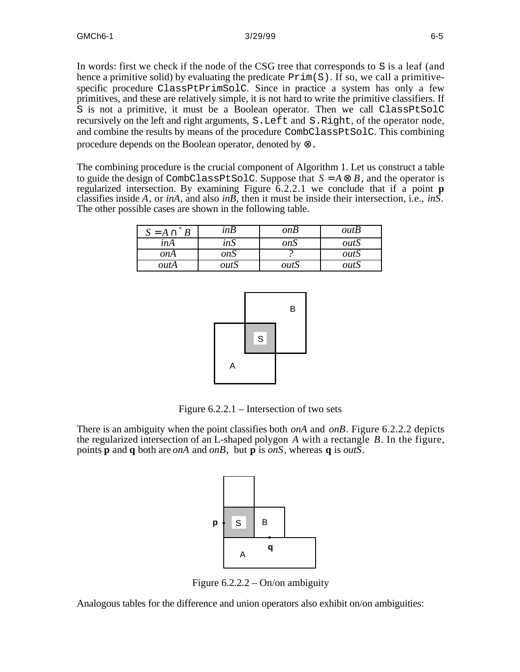In words: first we check if the node of the CSG tree that corresponds to S is a leaf (and hence a primitive solid) by evaluating the predicate  $Prim(S)$ . If so, we call a primitivespecific procedure ClassPtPrimSolC. Since in practice a system has only a few primitives, and these are relatively simple, it is not hard to write the primitive classifiers. If S is not a primitive, it must be a Boolean operator. Then we call ClassPtSolC recursively on the left and right arguments, S.Left and S.Right, of the operator node, and combine the results by means of the procedure CombClassPtSolC. This combining procedure depends on the Boolean operator, denoted by .

The combining procedure is the crucial component of Algorithm 1. Let us construct a table to guide the design of CombClassPtSolC. Suppose that  $S = A$   $B$ , and the operator is regularized intersection. By examining Figure 6.2.2.1 we conclude that if a point **p** classifies inside *A*, or *inA*, and also *inB*, then it must be inside their intersection, i.e., *inS*. The other possible cases are shown in the following table.

| $=$ A | inB        | onB  | outB |
|-------|------------|------|------|
| inA   | inS        | onS  | outS |
| onA   | <i>onS</i> |      | outS |
| outA  | outS       | outS | outS |



Figure 6.2.2.1 – Intersection of two sets

There is an ambiguity when the point classifies both *onA* and *onB*. Figure 6.2.2.2 depicts the regularized intersection of an L-shaped polygon *A* with a rectangle *B*. In the figure, points **p** and **q** both are *onA* and *onB*, but **p** is *onS*, whereas **q** is *outS*.



Figure 6.2.2.2 – On/on ambiguity

Analogous tables for the difference and union operators also exhibit on/on ambiguities: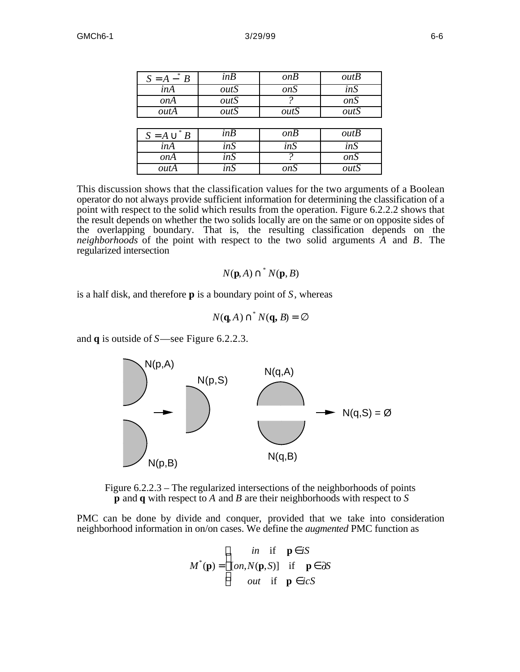| $S = A - B$              | inB  | onB              | outB             |
|--------------------------|------|------------------|------------------|
| inA                      | outS | $\overline{onS}$ | inS              |
| <i>onA</i>               | outS |                  | $\overline{onS}$ |
| outA                     | outS | outS             | outS             |
|                          |      |                  |                  |
| $\frac{1}{2}$<br>$S = A$ | in B | onB              | outB             |
| inA                      | inS  | inS              | inS              |
| onA                      | inS  | 9                | onS              |
| outA                     | inS  | <i>onS</i>       | outS             |

This discussion shows that the classification values for the two arguments of a Boolean operator do not always provide sufficient information for determining the classification of a point with respect to the solid which results from the operation. Figure 6.2.2.2 shows that the result depends on whether the two solids locally are on the same or on opposite sides of the overlapping boundary. That is, the resulting classification depends on the *neighborhoods* of the point with respect to the two solid arguments *A* and *B*. The regularized intersection

$$
N(\mathbf{p},A) \stackrel{*}{\longrightarrow} N(\mathbf{p},B)
$$

is a half disk, and therefore **p** is a boundary point of *S*, whereas

$$
N(\mathbf{q},A) \quad N(\mathbf{q},B) =
$$

and **q** is outside of *S*—see Figure 6.2.2.3.





PMC can be done by divide and conquer, provided that we take into consideration neighborhood information in on/on cases. We define the *augmented* PMC function as

$$
M^*(\mathbf{p}) = [on, N(\mathbf{p}, S)] \text{ if } \mathbf{p} \text{ dS}
$$
  
out if  $\mathbf{p} \text{ icS}$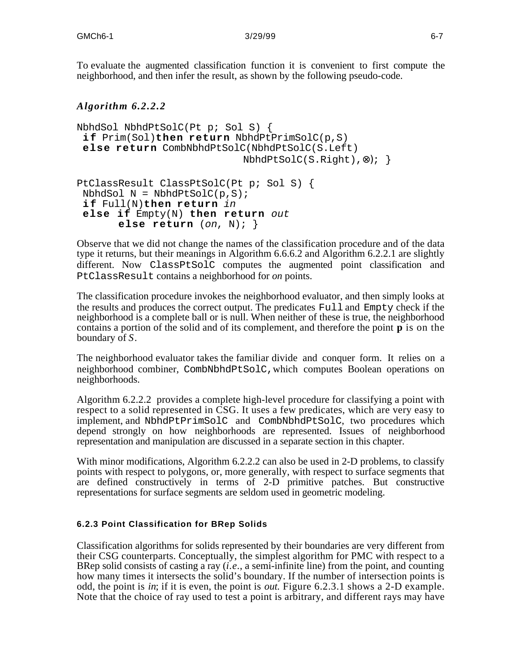To evaluate the augmented classification function it is convenient to first compute the neighborhood, and then infer the result, as shown by the following pseudo-code.

## *Algorithm 6.2.2.2*

```
NbhdSol NbhdPtSolC(Pt p; Sol S) {
 i f Prim(Sol)then return NbhdPtPrimSolC(p,S)
 else return CombNbhdPtSolC(NbhdPtSolC(S.Left)
                           NbhdPtSolC(S.Riqht), ; }
PtClassResult ClassPtSolC(Pt p; Sol S) {
NbhdSol N = NbhdPtSolC(p, S);i f Full(N)then return in
 else if Empty(N) then return out
```
**else return** (on, N); }

Observe that we did not change the names of the classification procedure and of the data type it returns, but their meanings in Algorithm 6.6.6.2 and Algorithm 6.2.2.1 are slightly different. Now ClassPtSolC computes the augmented point classification and PtClassResult contains a neighborhood for *on* points.

The classification procedure invokes the neighborhood evaluator, and then simply looks at the results and produces the correct output. The predicates Full and Empty check if the neighborhood is a complete ball or is null. When neither of these is true, the neighborhood contains a portion of the solid and of its complement, and therefore the point **p** is on the boundary of *S*.

The neighborhood evaluator takes the familiar divide and conquer form. It relies on a neighborhood combiner, CombNbhdPtSolC,which computes Boolean operations on neighborhoods.

Algorithm 6.2.2.2 provides a complete high-level procedure for classifying a point with respect to a solid represented in CSG. It uses a few predicates, which are very easy to implement, and NbhdPtPrimSolC and CombNbhdPtSolC, two procedures which depend strongly on how neighborhoods are represented. Issues of neighborhood representation and manipulation are discussed in a separate section in this chapter.

With minor modifications, Algorithm 6.2.2.2 can also be used in 2-D problems, to classify points with respect to polygons, or, more generally, with respect to surface segments that are defined constructively in terms of 2-D primitive patches. But constructive representations for surface segments are seldom used in geometric modeling.

### **6.2.3 Point Classification for BRep Solids**

Classification algorithms for solids represented by their boundaries are very different from their CSG counterparts. Conceptually, the simplest algorithm for PMC with respect to a BRep solid consists of casting a ray (*i.e.*, a semi-infinite line) from the point, and counting how many times it intersects the solid's boundary. If the number of intersection points is odd, the point is *in*; if it is even, the point is *out*. Figure 6.2.3.1 shows a 2-D example. Note that the choice of ray used to test a point is arbitrary, and different rays may have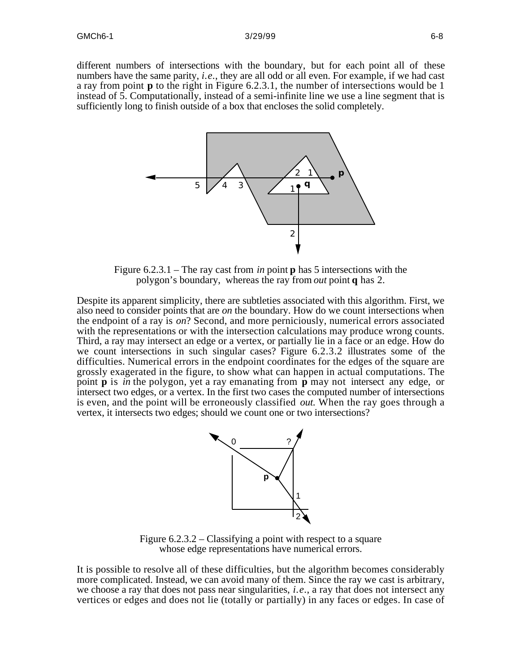different numbers of intersections with the boundary, but for each point all of these numbers have the same parity, *i.e.*, they are all odd or all even. For example, if we had cast a ray from point **p** to the right in Figure 6.2.3.1, the number of intersections would be 1 instead of 5. Computationally, instead of a semi-infinite line we use a line segment that is sufficiently long to finish outside of a box that encloses the solid completely.



Figure 6.2.3.1 – The ray cast from *in* point **p** has 5 intersections with the polygon's boundary, whereas the ray from *out* point **q** has 2.

Despite its apparent simplicity, there are subtleties associated with this algorithm. First, we also need to consider points that are *on* the boundary. How do we count intersections when the endpoint of a ray is *on*? Second, and more perniciously, numerical errors associated with the representations or with the intersection calculations may produce wrong counts. Third, a ray may intersect an edge or a vertex, or partially lie in a face or an edge. How do we count intersections in such singular cases? Figure 6.2.3.2 illustrates some of the difficulties. Numerical errors in the endpoint coordinates for the edges of the square are grossly exagerated in the figure, to show what can happen in actual computations. The point **p** is *in* the polygon, yet a ray emanating from **p** may not intersect any edge, or intersect two edges, or a vertex. In the first two cases the computed number of intersections is even, and the point will be erroneously classified *out*. When the ray goes through a vertex, it intersects two edges; should we count one or two intersections?



Figure 6.2.3.2 – Classifying a point with respect to a square whose edge representations have numerical errors.

It is possible to resolve all of these difficulties, but the algorithm becomes considerably more complicated. Instead, we can avoid many of them. Since the ray we cast is arbitrary, we choose a ray that does not pass near singularities, *i.e.*, a ray that does not intersect any vertices or edges and does not lie (totally or partially) in any faces or edges. In case of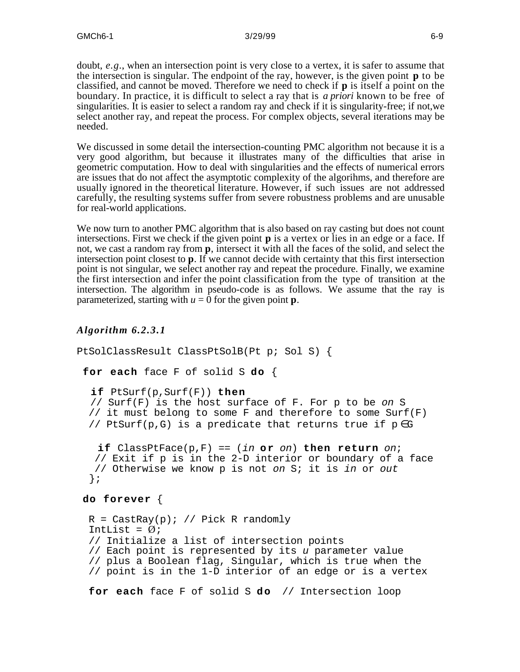doubt, *e.g.*, when an intersection point is very close to a vertex, it is safer to assume that the intersection is singular. The endpoint of the ray, however, is the given point **p** to be classified, and cannot be moved. Therefore we need to check if **p** is itself a point on the boundary. In practice, it is difficult to select a ray that is *a priori* known to be free of singularities. It is easier to select a random ray and check if it is singularity-free; if not,we select another ray, and repeat the process. For complex objects, several iterations may be needed.

We discussed in some detail the intersection-counting PMC algorithm not because it is a very good algorithm, but because it illustrates many of the difficulties that arise in geometric computation. How to deal with singularities and the effects of numerical errors are issues that do not affect the asymptotic complexity of the algorihms, and therefore are usually ignored in the theoretical literature. However, if such issues are not addressed carefully, the resulting systems suffer from severe robustness problems and are unusable for real-world applications.

We now turn to another PMC algorithm that is also based on ray casting but does not count intersections. First we check if the given point **p** is a vertex or lies in an edge or a face. If not, we cast a random ray from **p**, intersect it with all the faces of the solid, and select the intersection point closest to **p**. If we cannot decide with certainty that this first intersection point is not singular, we select another ray and repeat the procedure. Finally, we examine the first intersection and infer the point classification from the type of transition at the intersection. The algorithm in pseudo-code is as follows. We assume that the ray is parameterized, starting with  $u = 0$  for the given point **p**.

### *Algorithm 6.2.3.1*

```
PtSolClassResult ClassPtSolB(Pt p; Sol S) {
 for each face F of solid S do {
   if PtSurf(p,Surf(F)) then
   // Surf(F) is the host surface of F. For p to be on S
  // it must belong to some F and therefore to some Surf(F)
   // PtSurf(p,G) is a predicate that returns true if p ∈ G
   if \text{ClassPtFace}(p, F) == (in or on) then return on;
    // Exit if p is in the 2-D interior or boundary of a face
    // Otherwise we know p is not on S; it is in or out
   };
 do forever {
  R = CastRay(p); // Pick R randomly
  IntList = \emptyset;
   // Initialize a list of intersection points
   // Each point is represented by its u parameter value
   // plus a Boolean flag, Singular, which is true when the
   // point is in the 1-D interior of an edge or is a vertex
```
for each face F of solid S do // Intersection loop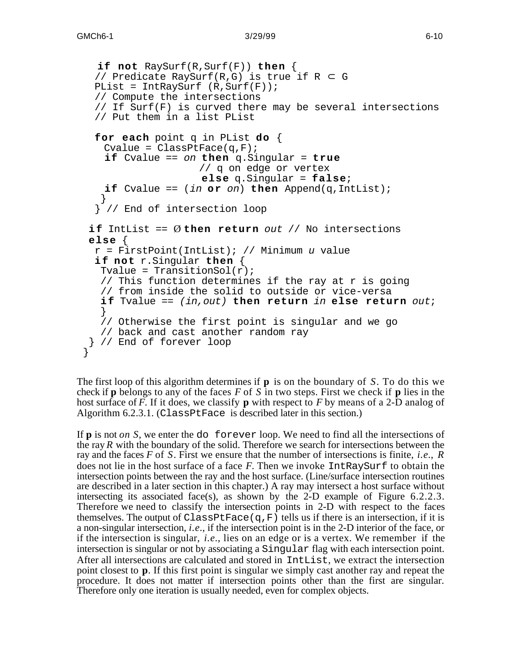```
 if not RaySurf(R,Surf(F)) then {
   // Predicate RaySurf(R,G) is true if R G
  PList = IntRaySurf (R, Surf(F));
   // Compute the intersections
   // If Surf(F) is curved there may be several intersections
   // Put them in a list PList
   for each point q in PList do {
    Cvalue = ClassPtFace(q,F); if Cvalue == on then q.Singular = true
                     // q on edge or vertex
                      else q.Singular = false;
    if Cvalue == (in or on) then Append(q,IntList); }
   } // End of intersection loop
 if IntList == Øthen return out // No intersections
  else {
  r = FirstPoint(IntList); // Minimum u value
   i f not r.Singular then {
   Tvalue = TransitionSol(r);
    // This function determines if the ray at r is going
    // from inside the solid to outside or vice-versa
    i f Tvalue == (in,out) then return in else return out;
 }
    // Otherwise the first point is singular and we go
    // back and cast another random ray
  } // End of forever loop
 }
```
The first loop of this algorithm determines if **p** is on the boundary of *S*. To do this we check if **p** belongs to any of the faces *F* of *S* in two steps. First we check if **p** lies in the host surface of *F*. If it does, we classify **p** with respect to *F* by means of a 2-D analog of Algorithm 6.2.3.1. (ClassPtFace is described later in this section.)

If **p** is not *on S*, we enter the do forever loop. We need to find all the intersections of the ray *R* with the boundary of the solid. Therefore we search for intersections between the ray and the faces *F* of *S*. First we ensure that the number of intersections is finite, *i.e.*, *R* does not lie in the host surface of a face *F*. Then we invoke IntRaySurf to obtain the intersection points between the ray and the host surface. (Line/surface intersection routines are described in a later section in this chapter.) A ray may intersect a host surface without intersecting its associated face(s), as shown by the 2-D example of Figure 6.2.2.3. Therefore we need to classify the intersection points in 2-D with respect to the faces themselves. The output of ClassPtFace(q,F) tells us if there is an intersection, if it is a non-singular intersection, *i.e.*, if the intersection point is in the 2-D interior of the face, or if the intersection is singular, *i.e.*, lies on an edge or is a vertex. We remember if the intersection is singular or not by associating a Singular flag with each intersection point. After all intersections are calculated and stored in IntList, we extract the intersection point closest to **p**. If this first point is singular we simply cast another ray and repeat the procedure. It does not matter if intersection points other than the first are singular. Therefore only one iteration is usually needed, even for complex objects.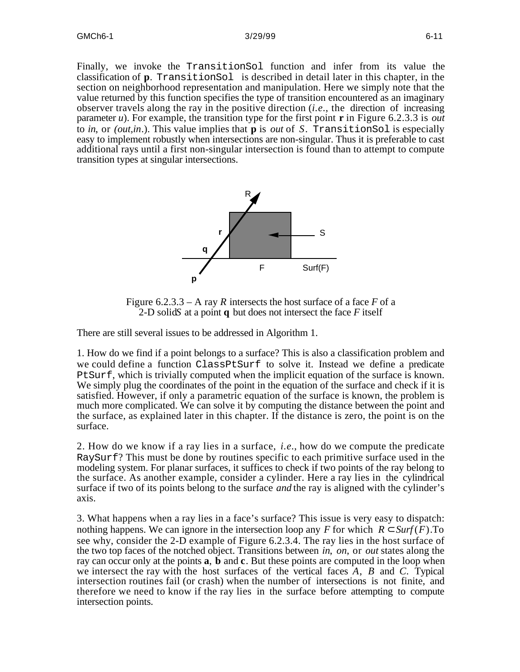Finally, we invoke the TransitionSol function and infer from its value the classification of **p**. TransitionSol is described in detail later in this chapter, in the section on neighborhood representation and manipulation. Here we simply note that the value returned by this function specifies the type of transition encountered as an imaginary observer travels along the ray in the positive direction (*i.e.*, the direction of increasing parameter *u*). For example, the transition type for the first point **r** in Figure 6.2.3.3 is *out* to *in*, or *(out,in*.). This value implies that **p** is *out* of *S*. TransitionSol is especially easy to implement robustly when intersections are non-singular. Thus it is preferable to cast additional rays until a first non-singular intersection is found than to attempt to compute transition types at singular intersections.



Figure  $6.2.3.3 - A$  ray *R* intersects the host surface of a face *F* of a 2-D solid*S* at a point **q** but does not intersect the face *F* itself

There are still several issues to be addressed in Algorithm 1.

1. How do we find if a point belongs to a surface? This is also a classification problem and we could define a function ClassPtSurf to solve it. Instead we define a predicate PtSurf, which is trivially computed when the implicit equation of the surface is known. We simply plug the coordinates of the point in the equation of the surface and check if it is satisfied. However, if only a parametric equation of the surface is known, the problem is much more complicated. We can solve it by computing the distance between the point and the surface, as explained later in this chapter. If the distance is zero, the point is on the surface.

2. How do we know if a ray lies in a surface, *i.e.*, how do we compute the predicate RaySurf? This must be done by routines specific to each primitive surface used in the modeling system. For planar surfaces, it suffices to check if two points of the ray belong to the surface. As another example, consider a cylinder. Here a ray lies in the cylindrical surface if two of its points belong to the surface *and* the ray is aligned with the cylinder's axis.

3. What happens when a ray lies in a face's surface? This issue is very easy to dispatch: nothing happens. We can ignore in the intersection loop any  $F$  for which  $R$  *Surf* ( $F$ ). To see why, consider the 2-D example of Figure 6.2.3.4. The ray lies in the host surface of the two top faces of the notched object. Transitions between *in*, *on*, or *out* states along the ray can occur only at the points **a**, **b** and **c**. But these points are computed in the loop when we intersect the ray with the host surfaces of the vertical faces *A*, *B* and *C*. Typical intersection routines fail (or crash) when the number of intersections is not finite, and therefore we need to know if the ray lies in the surface before attempting to compute intersection points.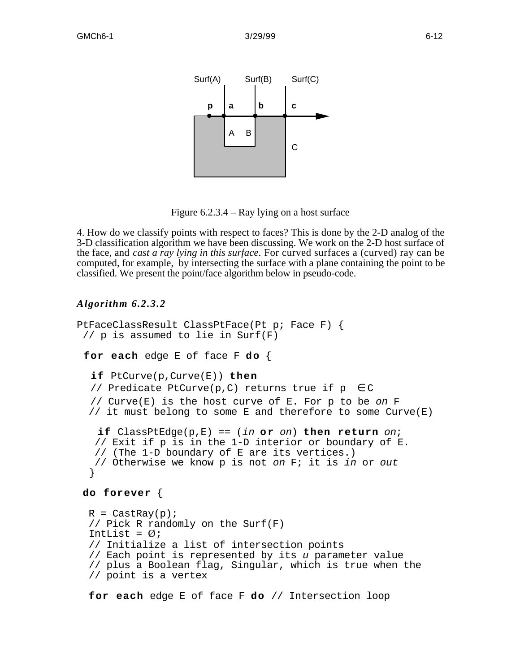

Figure 6.2.3.4 – Ray lying on a host surface

4. How do we classify points with respect to faces? This is done by the 2-D analog of the 3-D classification algorithm we have been discussing. We work on the 2-D host surface of the face, and *cast a ray lying in this surface*. For curved surfaces a (curved) ray can be computed, for example, by intersecting the surface with a plane containing the point to be classified. We present the point/face algorithm below in pseudo-code.

### *Algorithm 6.2.3.2*

```
PtFaceClassResult ClassPtFace(Pt p; Face F) {
  // p is assumed to lie in Surf(F)
 for each edge E of face F do {
   if PtCurve(p,Curve(E)) then
   // Predicate PtCurve(p,C) returns true if p ∈ C
   // Curve(E) is the host curve of E. For p to be on F
   // it must belong to some E and therefore to some Curve(E)
   if ClassPtEdge(p,E) == (in or on) then return on;
    // Exit if p is in the 1-D interior or boundary of E.
    // (The 1-D boundary of E are its vertices.)
    // Otherwise we know p is not on F; it is in or out
 }
do forever {
 R = CastRay(p);
   // Pick R randomly on the Surf(F)
  IntList = \emptyset;
   // Initialize a list of intersection points
   // Each point is represented by its u parameter value
   // plus a Boolean flag, Singular, which is true when the
   // point is a vertex
```
**for each** edge E of face F **do** // Intersection loop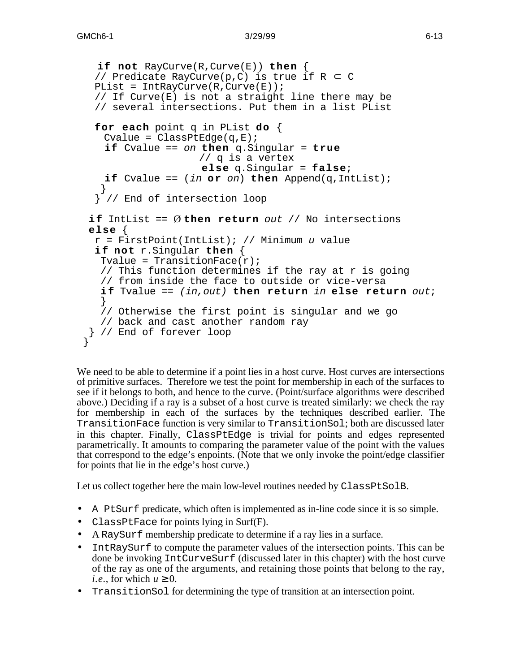```
 if not RayCurve(R,Curve(E)) then {
   // Predicate RayCurve(p,C) is true if R C
  PList = IntRayCurve(R, Curve(E));
   // If Curve(E) is not a straight line there may be
   // several intersections. Put them in a list PList
   for each point q in PList do {
    Cvalue = ClassPtEdqe(q,E); if Cvalue == on then q.Singular = true
                     // q is a vertex
                      else q.Singular = false;
    if Cvalue == (in or on) then Append(q,IntList); }
   } // End of intersection loop
 if IntList == Øthen return out // No intersections
  else {
  r = FirstPoint(IntList); // Minimum u value
   i f not r.Singular then {
   Tvalue = TransitionFace(r);
    // This function determines if the ray at r is going
    // from inside the face to outside or vice-versa
    i f Tvalue == (in,out) then return in else return out;
    }
    // Otherwise the first point is singular and we go
    // back and cast another random ray
  } // End of forever loop
 }
```
We need to be able to determine if a point lies in a host curve. Host curves are intersections of primitive surfaces. Therefore we test the point for membership in each of the surfaces to see if it belongs to both, and hence to the curve. (Point/surface algorithms were described above.) Deciding if a ray is a subset of a host curve is treated similarly: we check the ray for membership in each of the surfaces by the techniques described earlier. The TransitionFace function is very similar to TransitionSol; both are discussed later in this chapter. Finally, ClassPtEdge is trivial for points and edges represented parametrically. It amounts to comparing the parameter value of the point with the values that correspond to the edge's enpoints. (Note that we only invoke the point/edge classifier for points that lie in the edge's host curve.)

Let us collect together here the main low-level routines needed by ClassPtSolB.

- A PtSurf predicate, which often is implemented as in-line code since it is so simple.
- ClassPtFace for points lying in Surf(F).
- A RaySurf membership predicate to determine if a ray lies in a surface.
- IntRaySurf to compute the parameter values of the intersection points. This can be done be invoking IntCurveSurf (discussed later in this chapter) with the host curve of the ray as one of the arguments, and retaining those points that belong to the ray, *i.e.*, for which  $u \neq 0$ .
- TransitionSol for determining the type of transition at an intersection point.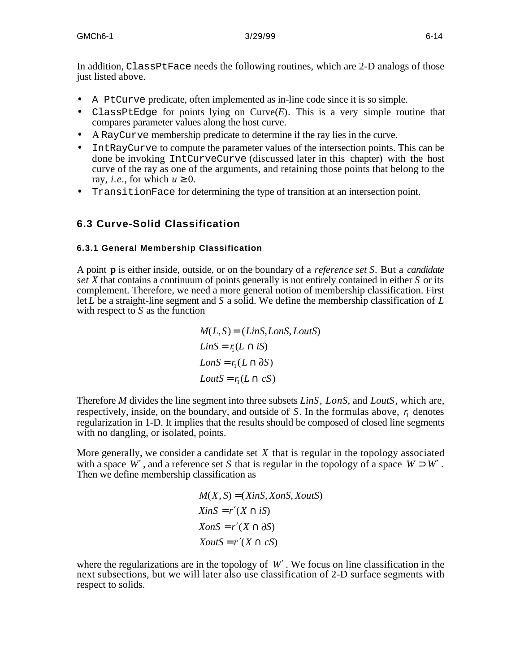In addition, ClassPtFace needs the following routines, which are 2-D analogs of those just listed above.

- A PtCurve predicate, often implemented as in-line code since it is so simple.
- ClassPtEdge for points lying on Curve(*E*). This is a very simple routine that compares parameter values along the host curve.
- A RayCurve membership predicate to determine if the ray lies in the curve.
- IntRayCurve to compute the parameter values of the intersection points. This can be done be invoking IntCurveCurve (discussed later in this chapter) with the host curve of the ray as one of the arguments, and retaining those points that belong to the ray, *i.e.*, for which  $u \neq 0$ .
- TransitionFace for determining the type of transition at an intersection point.

## **6.3 Curve-Solid Classification**

#### **6.3.1 General Membership Classification**

A point **p** is either inside, outside, or on the boundary of a *reference set S*. But a *candidate set X* that contains a continuum of points generally is not entirely contained in either *S* or its complement. Therefore, we need a more general notion of membership classification. First let *L* be a straight-line segment and *S* a solid. We define the membership classification of *L* with respect to *S* as the function

$$
M(L, S) = (LinS, LonS, LoutS)
$$
  
\n
$$
LinS = r_1(L \t iS)
$$
  
\n
$$
LonS = r_1(L \t \partial S)
$$
  
\n
$$
LoutS = r_1(L \t cS)
$$

Therefore *M* divides the line segment into three subsets *LinS*, *LonS*, and *LoutS*, which are, respectively, inside, on the boundary, and outside of  $S$ . In the formulas above,  $r_1$  denotes regularization in 1-D. It implies that the results should be composed of closed line segments with no dangling, or isolated, points.

More generally, we consider a candidate set *X* that is regular in the topology associated with a space  $W$ , and a reference set  $S$  that is regular in the topology of a space  $W$   $W$ . Then we define membership classification as

$$
M(X, S) = (XinS, XonS, XoutS)
$$
  
\n
$$
XinS = r (X \quad iS)
$$
  
\n
$$
XonS = r (X \quad iS)
$$
  
\n
$$
XoutS = r (X \quad cS)
$$

where the regularizations are in the topology of  $W$ . We focus on line classification in the next subsections, but we will later also use classification of 2-D surface segments with respect to solids.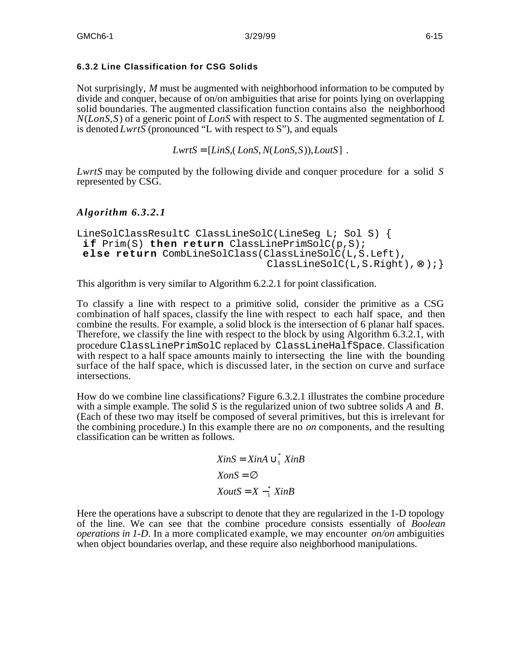## **6.3.2 Line Classification for CSG Solids**

Not surprisingly, *M* must be augmented with neighborhood information to be computed by divide and conquer, because of on/on ambiguities that arise for points lying on overlapping solid boundaries. The augmented classification function contains also the neighborhood *N*(*LonS*,*S*) of a generic point of *LonS* with respect to *S*. The augmented segmentation of *L* is denoted *LwrtS* (pronounced "L with respect to S"), and equals

```
LwrtS = [LinS, (LonS, N(LonS, S)), LoutS].
```
*LwrtS* may be computed by the following divide and conquer procedure for a solid *S* represented by CSG.

## *Algorithm 6.3.2.1*

```
LineSolClassResultC ClassLineSolC(LineSeg L; Sol S) {
 i f Prim(S) then return ClassLinePrimSolC(p,S);
else return CombLineSolClass(ClassLineSolC(L,S.Left),
                               ClassLineSolC(L,S.Right), );
```
This algorithm is very similar to Algorithm 6.2.2.1 for point classification.

To classify a line with respect to a primitive solid, consider the primitive as a CSG combination of half spaces, classify the line with respect to each half space, and then combine the results. For example, a solid block is the intersection of 6 planar half spaces. Therefore, we classify the line with respect to the block by using Algorithm 6.3.2.1, with procedure ClassLinePrimSolC replaced by ClassLineHalfSpace. Classification with respect to a half space amounts mainly to intersecting the line with the bounding surface of the half space, which is discussed later, in the section on curve and surface intersections.

How do we combine line classifications? Figure 6.3.2.1 illustrates the combine procedure with a simple example. The solid *S* is the regularized union of two subtree solids *A* and *B*. (Each of these two may itself be composed of several primitives, but this is irrelevant for the combining procedure.) In this example there are no *on* components, and the resulting classification can be written as follows.

```
XinS = XinA \int_{1}^{*} XinB
XonS =
XoutS = X - \frac{1}{1} XinB
```
Here the operations have a subscript to denote that they are regularized in the 1-D topology of the line. We can see that the combine procedure consists essentially of *Boolean operations in 1-D*. In a more complicated example, we may encounter *on/on* ambiguities when object boundaries overlap, and these require also neighborhood manipulations.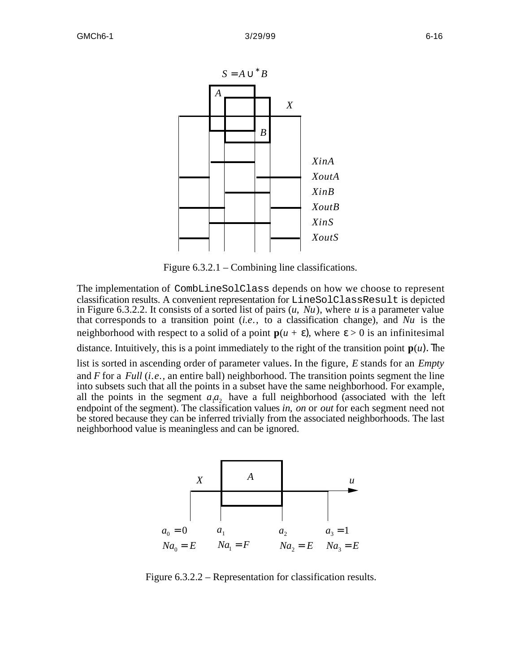

Figure 6.3.2.1 – Combining line classifications.

The implementation of CombLineSolClass depends on how we choose to represent classification results. A convenient representation for LineSolClassResult is depicted in Figure 6.3.2.2. It consists of a sorted list of pairs (*u*, *Nu*), where *u* is a parameter value that corresponds to a transition point (*i.e*., to a classification change), and *Nu* is the neighborhood with respect to a solid of a point  $p(u + \lambda)$ , where  $> 0$  is an infinitesimal distance. Intuitively, this is a point immediately to the right of the transition point  $p(u)$ . he list is sorted in ascending order of parameter values. In the figure, *E* stands for an *Empty* and *F* for a *Full* (*i.e.,* an entire ball) neighborhood. The transition points segment the line into subsets such that all the points in a subset have the same neighborhood. For example, all the points in the segment  $a_1a_2$  have a full neighborhood (associated with the left endpoint of the segment). The classification values *in*, *on* or *out* for each segment need not be stored because they can be inferred trivially from the associated neighborhoods. The last neighborhood value is meaningless and can be ignored.



Figure 6.3.2.2 – Representation for classification results.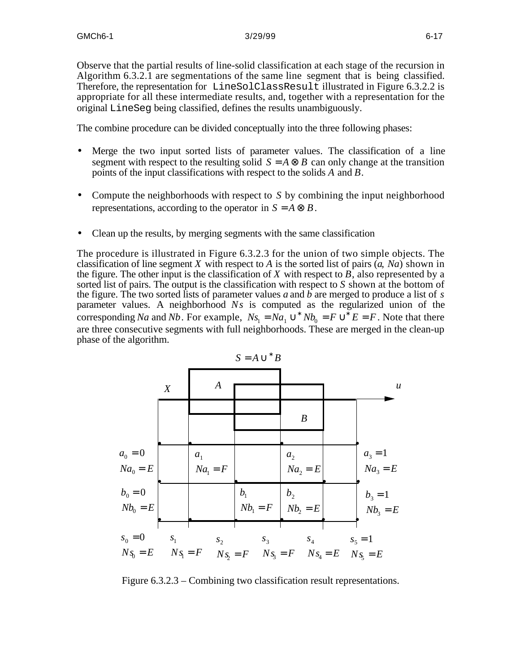Observe that the partial results of line-solid classification at each stage of the recursion in Algorithm 6.3.2.1 are segmentations of the same line segment that is being classified. Therefore, the representation for LineSolClassResult illustrated in Figure 6.3.2.2 is appropriate for all these intermediate results, and, together with a representation for the original LineSeg being classified, defines the results unambiguously.

The combine procedure can be divided conceptually into the three following phases:

- Merge the two input sorted lists of parameter values. The classification of a line segment with respect to the resulting solid  $S = A$  *B* can only change at the transition points of the input classifications with respect to the solids *A* and *B*.
- Compute the neighborhoods with respect to *S* by combining the input neighborhood representations, according to the operator in  $S = A \quad B$ .
- Clean up the results, by merging segments with the same classification

The procedure is illustrated in Figure 6.3.2.3 for the union of two simple objects. The classification of line segment *X* with respect to *A* is the sorted list of pairs  $(a, Na)$  shown in the figure. The other input is the classification of *X* with respect to *B*, also represented by a sorted list of pairs. The output is the classification with respect to *S* shown at the bottom of the figure. The two sorted lists of parameter values *a* and *b* are merged to produce a list of *s* parameter values. A neighborhood *Ns* is computed as the regularized union of the corresponding *Na* and *Nb*. For example,  $Ns_1 = Na_1$   $Nb_0 = F$   $E = F$ . Note that there are three consecutive segments with full neighborhoods. These are merged in the clean-up phase of the algorithm.



Figure 6.3.2.3 – Combining two classification result representations.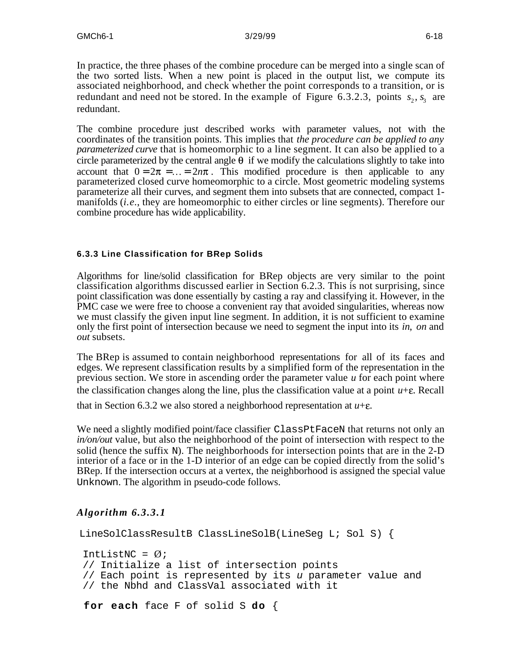In practice, the three phases of the combine procedure can be merged into a single scan of the two sorted lists. When a new point is placed in the output list, we compute its associated neighborhood, and check whether the point corresponds to a transition, or is redundant and need not be stored. In the example of Figure 6.3.2.3, points  $s_2$ ,  $s_3$  are redundant.

The combine procedure just described works with parameter values, not with the coordinates of the transition points. This implies that *the procedure can be applied to any parameterized curve* that is homeomorphic to a line segment. It can also be applied to a circle parameterized by the central angle  $\theta$  if we modify the calculations slightly to take into account that  $0 = 2\pi = ... = 2n\pi$ . This modified procedure is then applicable to any parameterized closed curve homeomorphic to a circle. Most geometric modeling systems parameterize all their curves, and segment them into subsets that are connected, compact 1 manifolds (*i.e.*, they are homeomorphic to either circles or line segments). Therefore our combine procedure has wide applicability.

### **6.3.3 Line Classification for BRep Solids**

Algorithms for line/solid classification for BRep objects are very similar to the point classification algorithms discussed earlier in Section 6.2.3. This is not surprising, since point classification was done essentially by casting a ray and classifying it. However, in the PMC case we were free to choose a convenient ray that avoided singularities, whereas now we must classify the given input line segment. In addition, it is not sufficient to examine only the first point of intersection because we need to segment the input into its *in*, *on* and *out* subsets.

The BRep is assumed to contain neighborhood representations for all of its faces and edges. We represent classification results by a simplified form of the representation in the previous section. We store in ascending order the parameter value *u* for each point where the classification changes along the line, plus the classification value at a point  $u + \varepsilon$ . Recall

that in Section 6.3.2 we also stored a neighborhood representation at  $u + \varepsilon$ .

We need a slightly modified point/face classifier ClassPtFaceN that returns not only an *in/on/out* value, but also the neighborhood of the point of intersection with respect to the solid (hence the suffix N). The neighborhoods for intersection points that are in the 2-D interior of a face or in the 1-D interior of an edge can be copied directly from the solid's BRep. If the intersection occurs at a vertex, the neighborhood is assigned the special value Unknown. The algorithm in pseudo-code follows.

## *Algorithm 6.3.3.1*

```
LineSolClassResultB ClassLineSolB(LineSeg L; Sol S) {
IntListNC = \emptyset;
 // Initialize a list of intersection points
 // Each point is represented by its u parameter value and
 // the Nbhd and ClassVal associated with it
 for each face F of solid S do {
```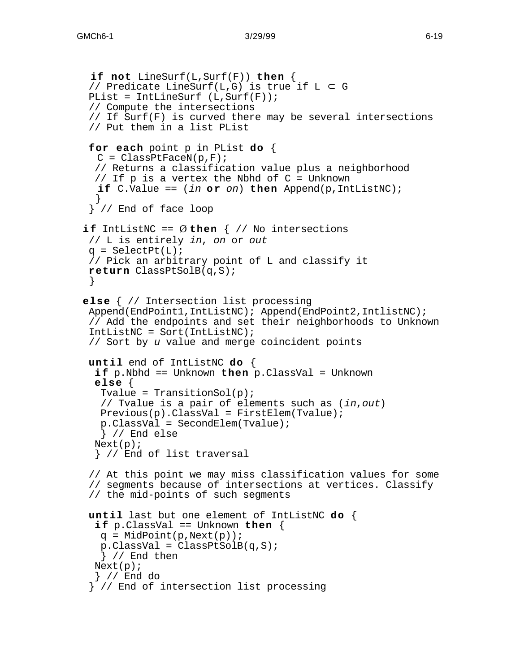```
 if not LineSurf(L,Surf(F)) then {
  // Predicate LineSurf(L,G) is true if L G
 PList = IntLineSurf (L, Surf(F));
  // Compute the intersections
  // If Surf(F) is curved there may be several intersections
  // Put them in a list PList
  for each point p in PList do {
   C = ClassPtFaceN(p, F); // Returns a classification value plus a neighborhood
   // If p is a vertex the Nbhd of C = Unknown
   if C.Value == (in or on) then Append(p,IntListNC); }
   } // End of face loop
if IntListNC == \emptyset then \{\n/ No intersections
  // L is entirely in, on or out
 q = SelectPt(L); // Pick an arbitrary point of L and classify it
  return ClassPtSolB(q,S);
 }
else { // Intersection list processing
 Append(EndPoint1,IntListNC); Append(EndPoint2,IntlistNC);
  // Add the endpoints and set their neighborhoods to Unknown
  IntListNC = Sort(IntListNC);
  // Sort by u value and merge coincident points
  until end of IntListNC do {
   i f p.Nbhd == Unknown then p.ClassVal = Unknown
   else {
   Tvalue = Transitional(p);
    // Tvalue is a pair of elements such as (in,out)
    Previous(p).ClassVal = FirstElem(Tvalue);
    p.ClassVal = SecondElem(Tvalue);
    } // End else
  Next(p); } // End of list traversal
  // At this point we may miss classification values for some
  // segments because of intersections at vertices. Classify
  // the mid-points of such segments
  until last but one element of IntListNC do {
   i f p.ClassVal == Unknown then {
   q = MidPoint(p,Next(p));
   p.ClassVal = ClassPtSolB(q, S); } // End then
  Next(p); } // End do
   } // End of intersection list processing
```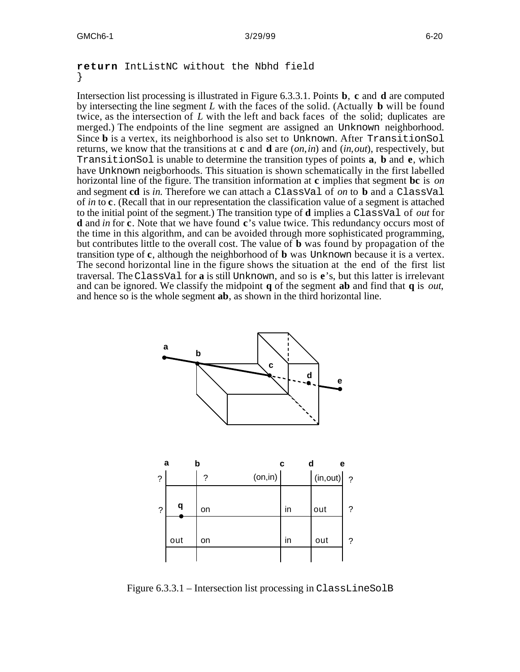#### **return** IntListNC without the Nbhd field }

Intersection list processing is illustrated in Figure 6.3.3.1. Points **b**, **c** and **d** are computed by intersecting the line segment *L* with the faces of the solid. (Actually **b** will be found twice, as the intersection of *L* with the left and back faces of the solid; duplicates are merged.) The endpoints of the line segment are assigned an Unknown neighborhood. Since **b** is a vertex, its neighborhood is also set to Unknown. After TransitionSol returns, we know that the transitions at **c** and **d** are (*on*,*in*) and (*in*,*out*), respectively, but TransitionSol is unable to determine the transition types of points **a**, **b** and **e**, which have Unknown neigborhoods. This situation is shown schematically in the first labelled horizontal line of the figure. The transition information at **c** implies that segment **bc** is *on* and segment **cd** is *in*. Therefore we can attach a ClassVal of *on* to **b** and a ClassVal of *in* to **c**. (Recall that in our representation the classification value of a segment is attached to the initial point of the segment.) The transition type of **d** implies a ClassVal of *out* for **d** and *in* for **c**. Note that we have found **c**'s value twice. This redundancy occurs most of the time in this algorithm, and can be avoided through more sophisticated programming, but contributes little to the overall cost. The value of **b** was found by propagation of the transition type of **c**, although the neighborhood of **b** was Unknown because it is a vertex. The second horizontal line in the figure shows the situation at the end of the first list traversal. The ClassVal for **a** is still Unknown, and so is **e**'s, but this latter is irrelevant and can be ignored. We classify the midpoint **q** of the segment **ab** and find that **q** is *out*, and hence so is the whole segment **ab**, as shown in the third horizontal line.



Figure 6.3.3.1 – Intersection list processing in ClassLineSolB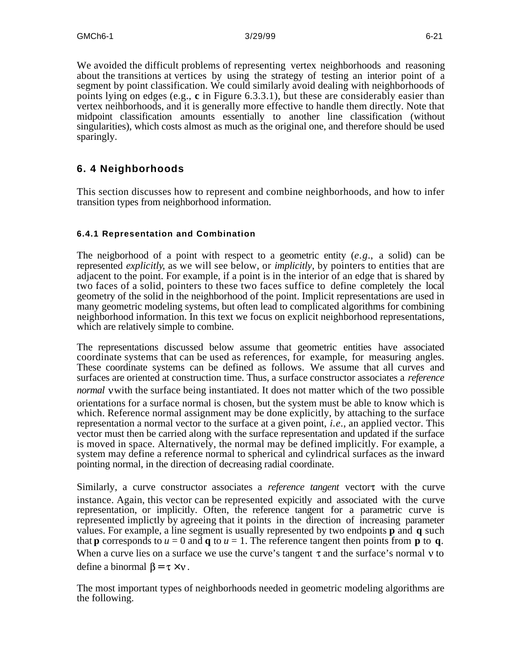We avoided the difficult problems of representing vertex neighborhoods and reasoning about the transitions at vertices by using the strategy of testing an interior point of a segment by point classification. We could similarly avoid dealing with neighborhoods of points lying on edges (e.g., **c** in Figure 6.3.3.1), but these are considerably easier than vertex neihborhoods, and it is generally more effective to handle them directly. Note that midpoint classification amounts essentially to another line classification (without singularities), which costs almost as much as the original one, and therefore should be used sparingly.

## **6. 4 Neighborhoods**

This section discusses how to represent and combine neighborhoods, and how to infer transition types from neighborhood information.

## **6.4.1 Representation and Combination**

The neigborhood of a point with respect to a geometric entity (*e.g.*, a solid) can be represented *explicitly*, as we will see below, or *implicitly*, by pointers to entities that are adjacent to the point. For example, if a point is in the interior of an edge that is shared by two faces of a solid, pointers to these two faces suffice to define completely the local geometry of the solid in the neighborhood of the point. Implicit representations are used in many geometric modeling systems, but often lead to complicated algorithms for combining neighborhood information. In this text we focus on explicit neighborhood representations, which are relatively simple to combine.

The representations discussed below assume that geometric entities have associated coordinate systems that can be used as references, for example, for measuring angles. These coordinate systems can be defined as follows. We assume that all curves and surfaces are oriented at construction time. Thus, a surface constructor associates a *reference normal* vwith the surface being instantiated. It does not matter which of the two possible orientations for a surface normal is chosen, but the system must be able to know which is which. Reference normal assignment may be done explicitly, by attaching to the surface representation a normal vector to the surface at a given point, *i.e.*, an applied vector. This vector must then be carried along with the surface representation and updated if the surface is moved in space. Alternatively, the normal may be defined implicitly. For example, a system may define a reference normal to spherical and cylindrical surfaces as the inward pointing normal, in the direction of decreasing radial coordinate.

Similarly, a curve constructor associates a *reference tangent* vector with the curve instance. Again, this vector can be represented expicitly and associated with the curve representation, or implicitly. Often, the reference tangent for a parametric curve is represented implictly by agreeing that it points in the direction of increasing parameter values. For example, a line segment is usually represented by two endpoints **p** and **q** such that **p** corresponds to  $u = 0$  and **q** to  $u = 1$ . The reference tangent then points from **p** to **q**. When a curve lies on a surface we use the curve's tangent  $\tau$  and the surface's normal  $\nu$  to define a binormal  $\beta = \tau \times v$ .

The most important types of neighborhoods needed in geometric modeling algorithms are the following.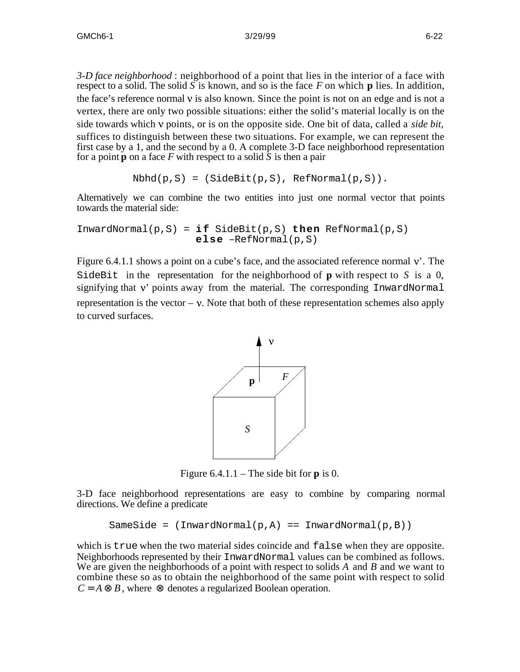*3-D face neighborhood* : neighborhood of a point that lies in the interior of a face with respect to a solid. The solid  $\overline{S}$  is known, and so is the face  $\overline{F}$  on which **p** lies. In addition, the face's reference normal  $\nu$  is also known. Since the point is not on an edge and is not a vertex, there are only two possible situations: either the solid's material locally is on the side towards which points, or is on the opposite side. One bit of data, called a *side bit*, suffices to distinguish between these two situations. For example, we can represent the first case by a 1, and the second by a 0. A complete 3-D face neighborhood representation for a point **p** on a face  $F$  with respect to a solid  $\overline{S}$  is then a pair

```
Nbhd(p,S) = (SideBit(p,S), RefNormal(p,S)).
```
Alternatively we can combine the two entities into just one normal vector that points towards the material side:

 $InwardNormal(p, S) = i f SideBit(p, S) then RefNormal(p, S)$ **else** –RefNormal(p,S)

Figure 6.4.1.1 shows a point on a cube's face, and the associated reference normal  $v'$ . The SideBit in the representation for the neighborhood of **p** with respect to *S* is a 0, signifying that  $v'$  points away from the material. The corresponding InwardNormal representation is the vector  $-\nu$ . Note that both of these representation schemes also apply to curved surfaces.



Figure  $6.4.1.1$  – The side bit for **p** is 0.

3-D face neighborhood representations are easy to combine by comparing normal directions. We define a predicate

```
SameSide = (InwardNormal(p, A) == InwardNormal(p, B))
```
which is true when the two material sides coincide and false when they are opposite. Neighborhoods represented by their InwardNormal values can be combined as follows. We are given the neighborhoods of a point with respect to solids *A* and *B* and we want to combine these so as to obtain the neighborhood of the same point with respect to solid  $C = A$  *B*, where denotes a regularized Boolean operation.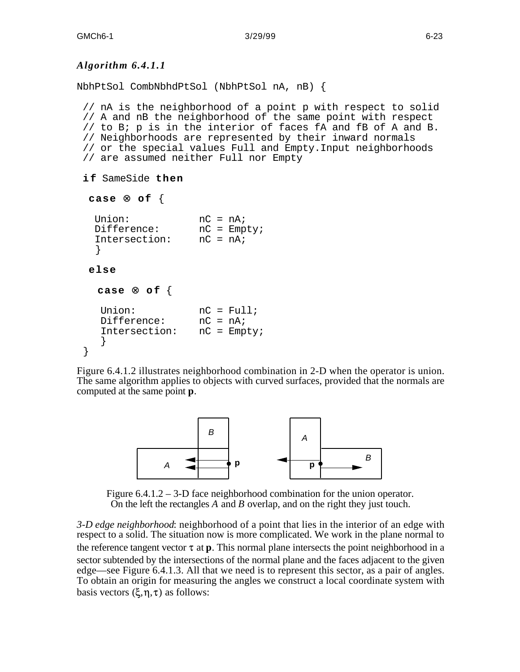### *Algorithm 6.4.1.1*

NbhPtSol CombNbhdPtSol (NbhPtSol nA, nB) {

 // nA is the neighborhood of a point p with respect to solid // A and nB the neighborhood of the same point with respect // to B; p is in the interior of faces fA and fB of A and B. // Neighborhoods are represented by their inward normals // or the special values Full and Empty.Input neighborhoods // are assumed neither Full nor Empty

```
i f SameSide then
```

```
 case of {
  Union: nC = nA;<br>Difference: nC = Empty;Difference:
   Intersection: nC = nA;
   }
  else
    case o f {
   Union: nC = Full;<br>Difference: nC = nA;Difference: nC = nA;<br>Intersection: nC = Empty;
   Intersection:
     }
 }
```
Figure 6.4.1.2 illustrates neighborhood combination in 2-D when the operator is union. The same algorithm applies to objects with curved surfaces, provided that the normals are computed at the same point **p**.



Figure 6.4.1.2 – 3-D face neighborhood combination for the union operator. On the left the rectangles *A* and *B* overlap, and on the right they just touch.

*3-D edge neighborhood*: neighborhood of a point that lies in the interior of an edge with respect to a solid. The situation now is more complicated. We work in the plane normal to the reference tangent vector  $\tau$  at **p**. This normal plane intersects the point neighborhood in a sector subtended by the intersections of the normal plane and the faces adjacent to the given edge—see Figure 6.4.1.3. All that we need is to represent this sector, as a pair of angles. To obtain an origin for measuring the angles we construct a local coordinate system with basis vectors  $(\xi, \eta, \tau)$  as follows: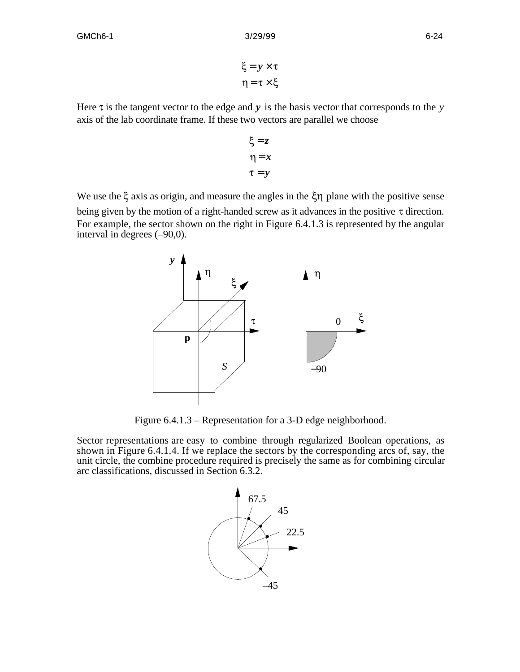$\xi = y \times \tau$  $\eta = \tau \times \xi$ 

Here  $\tau$  is the tangent vector to the edge and  $y$  is the basis vector that corresponds to the  $y$ axis of the lab coordinate frame. If these two vectors are parallel we choose

$$
\xi = z
$$

$$
\eta = x
$$

$$
\tau = y
$$

We use the  $\xi$  axis as origin, and measure the angles in the  $\xi \eta$  plane with the positive sense being given by the motion of a right-handed screw as it advances in the positive  $\tau$  direction. For example, the sector shown on the right in Figure 6.4.1.3 is represented by the angular interval in degrees (–90,0).



Figure 6.4.1.3 – Representation for a 3-D edge neighborhood.

Sector representations are easy to combine through regularized Boolean operations, as shown in Figure 6.4.1.4. If we replace the sectors by the corresponding arcs of, say, the unit circle, the combine procedure required is precisely the same as for combining circular arc classifications, discussed in Section 6.3.2.

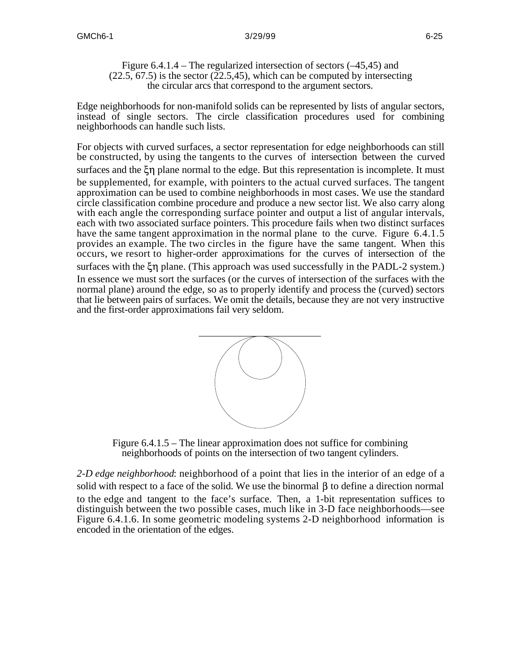Figure 6.4.1.4 – The regularized intersection of sectors (–45,45) and  $(22.5, 67.5)$  is the sector  $(22.5, 45)$ , which can be computed by intersecting the circular arcs that correspond to the argument sectors.

Edge neighborhoods for non-manifold solids can be represented by lists of angular sectors, instead of single sectors. The circle classification procedures used for combining neighborhoods can handle such lists.

For objects with curved surfaces, a sector representation for edge neighborhoods can still be constructed, by using the tangents to the curves of intersection between the curved surfaces and the  $\zeta$  plane normal to the edge. But this representation is incomplete. It must be supplemented, for example, with pointers to the actual curved surfaces. The tangent approximation can be used to combine neighborhoods in most cases. We use the standard circle classification combine procedure and produce a new sector list. We also carry along with each angle the corresponding surface pointer and output a list of angular intervals, each with two associated surface pointers. This procedure fails when two distinct surfaces have the same tangent approximation in the normal plane to the curve. Figure 6.4.1.5 provides an example. The two circles in the figure have the same tangent. When this occurs, we resort to higher-order approximations for the curves of intersection of the surfaces with the  $\zeta \eta$  plane. (This approach was used successfully in the PADL-2 system.) In essence we must sort the surfaces (or the curves of intersection of the surfaces with the normal plane) around the edge, so as to properly identify and process the (curved) sectors that lie between pairs of surfaces. We omit the details, because they are not very instructive and the first-order approximations fail very seldom.



Figure 6.4.1.5 – The linear approximation does not suffice for combining neighborhoods of points on the intersection of two tangent cylinders.

*2-D edge neighborhood*: neighborhood of a point that lies in the interior of an edge of a solid with respect to a face of the solid. We use the binormal  $\beta$  to define a direction normal to the edge and tangent to the face's surface. Then, a 1-bit representation suffices to distinguish between the two possible cases, much like in 3-D face neighborhoods—see Figure 6.4.1.6. In some geometric modeling systems 2-D neighborhood information is encoded in the orientation of the edges.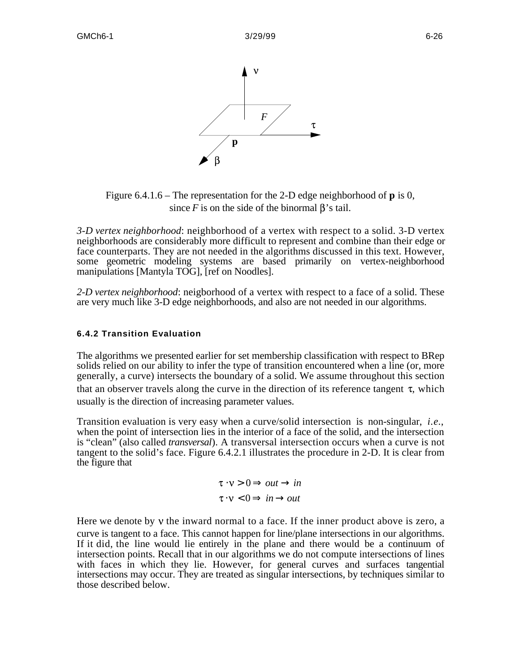

Figure 6.4.1.6 – The representation for the 2-D edge neighborhood of **p** is 0, since  $F$  is on the side of the binormal  $\beta$ 's tail.

*3-D vertex neighborhood*: neighborhood of a vertex with respect to a solid. 3-D vertex neighborhoods are considerably more difficult to represent and combine than their edge or face counterparts. They are not needed in the algorithms discussed in this text. However, some geometric modeling systems are based primarily on vertex-neighborhood manipulations [Mantyla TOG], [ref on Noodles].

*2-D vertex neighborhood*: neigborhood of a vertex with respect to a face of a solid. These are very much like 3-D edge neighborhoods, and also are not needed in our algorithms.

#### **6.4.2 Transition Evaluation**

The algorithms we presented earlier for set membership classification with respect to BRep solids relied on our ability to infer the type of transition encountered when a line (or, more generally, a curve) intersects the boundary of a solid. We assume throughout this section that an observer travels along the curve in the direction of its reference tangent  $\tau$ , which usually is the direction of increasing parameter values.

Transition evaluation is very easy when a curve/solid intersection is non-singular, *i.e.*, when the point of intersection lies in the interior of a face of the solid, and the intersection is "clean" (also called *transversal*). A transversal intersection occurs when a curve is not tangent to the solid's face. Figure 6.4.2.1 illustrates the procedure in 2-D. It is clear from the figure that

$$
\begin{array}{ccc}\n\tau & \nu > 0 & out & in \\
\tau & \nu < 0 & in & out\n\end{array}
$$

Here we denote by  $\nu$  the inward normal to a face. If the inner product above is zero, a curve is tangent to a face. This cannot happen for line/plane intersections in our algorithms. If it did, the line would lie entirely in the plane and there would be a continuum of intersection points. Recall that in our algorithms we do not compute intersections of lines with faces in which they lie. However, for general curves and surfaces tangential intersections may occur. They are treated as singular intersections, by techniques similar to those described below.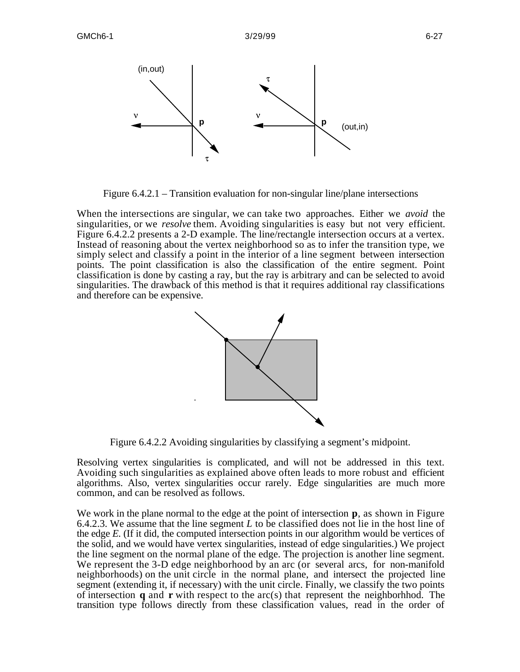

Figure 6.4.2.1 – Transition evaluation for non-singular line/plane intersections

When the intersections are singular, we can take two approaches. Either we *avoid* the singularities, or we *resolve* them. Avoiding singularities is easy but not very efficient. Figure 6.4.2.2 presents a 2-D example. The line/rectangle intersection occurs at a vertex. Instead of reasoning about the vertex neighborhood so as to infer the transition type, we simply select and classify a point in the interior of a line segment between intersection points. The point classification is also the classification of the entire segment. Point classification is done by casting a ray, but the ray is arbitrary and can be selected to avoid singularities. The drawback of this method is that it requires additional ray classifications and therefore can be expensive.



Figure 6.4.2.2 Avoiding singularities by classifying a segment's midpoint.

Resolving vertex singularities is complicated, and will not be addressed in this text. Avoiding such singularities as explained above often leads to more robust and efficient algorithms. Also, vertex singularities occur rarely. Edge singularities are much more common, and can be resolved as follows.

We work in the plane normal to the edge at the point of intersection **p**, as shown in Figure 6.4.2.3. We assume that the line segment *L* to be classified does not lie in the host line of the edge *E*. (If it did, the computed intersection points in our algorithm would be vertices of the solid, and we would have vertex singularities, instead of edge singularities.) We project the line segment on the normal plane of the edge. The projection is another line segment. We represent the 3-D edge neighborhood by an arc (or several arcs, for non-manifold neighborhoods) on the unit circle in the normal plane, and intersect the projected line segment (extending it, if necessary) with the unit circle. Finally, we classify the two points of intersection **q** and **r** with respect to the arc(s) that represent the neighborhhod. The transition type follows directly from these classification values, read in the order of